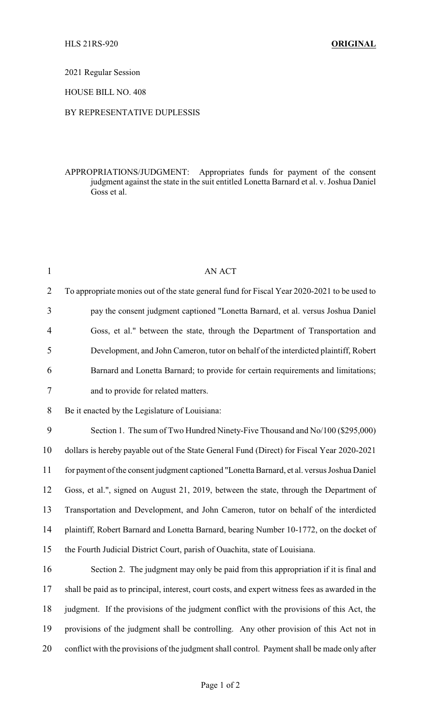2021 Regular Session

HOUSE BILL NO. 408

## BY REPRESENTATIVE DUPLESSIS

APPROPRIATIONS/JUDGMENT: Appropriates funds for payment of the consent judgment against the state in the suit entitled Lonetta Barnard et al. v. Joshua Daniel Goss et al.

| $\mathbf{1}$   | <b>AN ACT</b>                                                                                   |
|----------------|-------------------------------------------------------------------------------------------------|
| $\overline{2}$ | To appropriate monies out of the state general fund for Fiscal Year 2020-2021 to be used to     |
| 3              | pay the consent judgment captioned "Lonetta Barnard, et al. versus Joshua Daniel                |
| 4              | Goss, et al." between the state, through the Department of Transportation and                   |
| 5              | Development, and John Cameron, tutor on behalf of the interdicted plaintiff, Robert             |
| 6              | Barnard and Lonetta Barnard; to provide for certain requirements and limitations;               |
| 7              | and to provide for related matters.                                                             |
| 8              | Be it enacted by the Legislature of Louisiana:                                                  |
| 9              | Section 1. The sum of Two Hundred Ninety-Five Thousand and No/100 (\$295,000)                   |
| 10             | dollars is hereby payable out of the State General Fund (Direct) for Fiscal Year 2020-2021      |
| 11             | for payment of the consent judgment captioned "Lonetta Barnard, et al. versus Joshua Daniel     |
| 12             | Goss, et al.", signed on August 21, 2019, between the state, through the Department of          |
| 13             | Transportation and Development, and John Cameron, tutor on behalf of the interdicted            |
| 14             | plaintiff, Robert Barnard and Lonetta Barnard, bearing Number 10-1772, on the docket of         |
| 15             | the Fourth Judicial District Court, parish of Ouachita, state of Louisiana.                     |
| 16             | Section 2. The judgment may only be paid from this appropriation if it is final and             |
| 17             | shall be paid as to principal, interest, court costs, and expert witness fees as awarded in the |
| 18             | judgment. If the provisions of the judgment conflict with the provisions of this Act, the       |
| 19             | provisions of the judgment shall be controlling. Any other provision of this Act not in         |
| 20             | conflict with the provisions of the judgment shall control. Payment shall be made only after    |